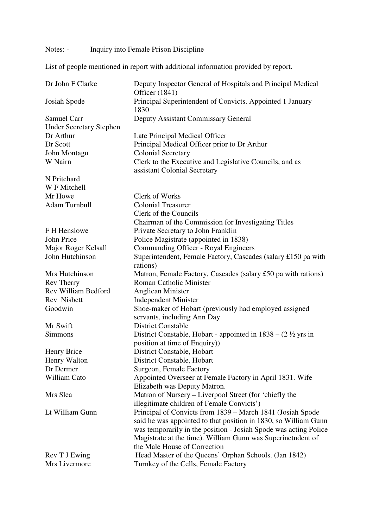## Notes: - Inquiry into Female Prison Discipline

List of people mentioned in report with additional information provided by report.

| Dr John F Clarke               | Deputy Inspector General of Hospitals and Principal Medical<br>Officer (1841)     |
|--------------------------------|-----------------------------------------------------------------------------------|
| Josiah Spode                   | Principal Superintendent of Convicts. Appointed 1 January<br>1830                 |
| <b>Samuel Carr</b>             | <b>Deputy Assistant Commissary General</b>                                        |
| <b>Under Secretary Stephen</b> |                                                                                   |
| Dr Arthur                      | Late Principal Medical Officer                                                    |
| Dr Scott                       | Principal Medical Officer prior to Dr Arthur                                      |
| John Montagu                   | <b>Colonial Secretary</b>                                                         |
| W Nairn                        | Clerk to the Executive and Legislative Councils, and as                           |
|                                | assistant Colonial Secretary                                                      |
| N Pritchard                    |                                                                                   |
| W F Mitchell                   |                                                                                   |
| Mr Howe                        | Clerk of Works                                                                    |
| Adam Turnbull                  | <b>Colonial Treasurer</b>                                                         |
|                                | Clerk of the Councils                                                             |
|                                | Chairman of the Commission for Investigating Titles                               |
| F H Henslowe                   | Private Secretary to John Franklin                                                |
| John Price                     | Police Magistrate (appointed in 1838)                                             |
| Major Roger Kelsall            | Commanding Officer - Royal Engineers                                              |
| John Hutchinson                | Superintendent, Female Factory, Cascades (salary £150 pa with                     |
|                                | rations)                                                                          |
| Mrs Hutchinson                 | Matron, Female Factory, Cascades (salary £50 pa with rations)                     |
| <b>Rev Therry</b>              | <b>Roman Catholic Minister</b>                                                    |
| Rev William Bedford            | <b>Anglican Minister</b>                                                          |
| Rev Nisbett                    | <b>Independent Minister</b>                                                       |
| Goodwin                        | Shoe-maker of Hobart (previously had employed assigned                            |
|                                | servants, including Ann Day                                                       |
| Mr Swift                       | <b>District Constable</b>                                                         |
| Simmons                        | District Constable, Hobart - appointed in $1838 - (2 \frac{1}{2} \text{ yrs in})$ |
|                                | position at time of Enquiry)                                                      |
| Henry Brice                    | District Constable, Hobart                                                        |
| Henry Walton                   | District Constable, Hobart                                                        |
| Dr Dermer                      | Surgeon, Female Factory                                                           |
| William Cato                   | Appointed Overseer at Female Factory in April 1831. Wife                          |
|                                | Elizabeth was Deputy Matron.                                                      |
| Mrs Slea                       | Matron of Nursery – Liverpool Street (for 'chiefly the                            |
|                                | illegitimate children of Female Convicts')                                        |
| Lt William Gunn                | Principal of Convicts from 1839 - March 1841 (Josiah Spode                        |
|                                | said he was appointed to that position in 1830, so William Gunn                   |
|                                | was temporarily in the position - Josiah Spode was acting Police                  |
|                                | Magistrate at the time). William Gunn was Superinetndent of                       |
|                                | the Male House of Correction                                                      |
| Rev T J Ewing                  | Head Master of the Queens' Orphan Schools. (Jan 1842)                             |
| Mrs Livermore                  | Turnkey of the Cells, Female Factory                                              |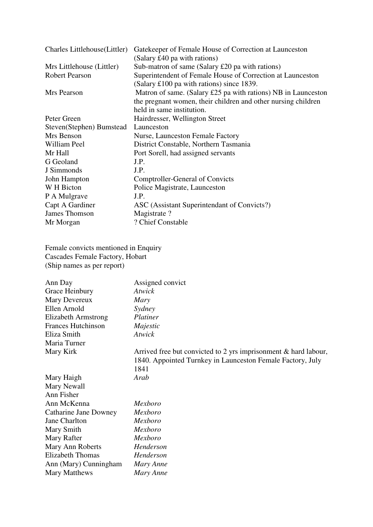| Charles Littlehouse (Littler) | Gatekeeper of Female House of Correction at Launceston        |  |
|-------------------------------|---------------------------------------------------------------|--|
|                               | (Salary £40 pa with rations)                                  |  |
| Mrs Littlehouse (Littler)     | Sub-matron of same (Salary £20 pa with rations)               |  |
| <b>Robert Pearson</b>         | Superintendent of Female House of Correction at Launceston    |  |
|                               | (Salary £100 pa with rations) since 1839.                     |  |
| Mrs Pearson                   | Matron of same. (Salary £25 pa with rations) NB in Launceston |  |
|                               | the pregnant women, their children and other nursing children |  |
|                               | held in same institution.                                     |  |
| Peter Green                   | Hairdresser, Wellington Street                                |  |
| Steven(Stephen) Bumstead      | Launceston                                                    |  |
| Mrs Benson                    | Nurse, Launceston Female Factory                              |  |
| William Peel                  | District Constable, Northern Tasmania                         |  |
| Mr Hall                       | Port Sorell, had assigned servants                            |  |
| G Geoland                     | J.P.                                                          |  |
| J Simmonds                    | J.P.                                                          |  |
| John Hampton                  | Comptroller-General of Convicts                               |  |
| W H Bicton                    | Police Magistrate, Launceston                                 |  |
| P A Mulgrave                  | J.P.                                                          |  |
| Capt A Gardiner               | ASC (Assistant Superintendant of Convicts?)                   |  |
| James Thomson                 | Magistrate?                                                   |  |
| Mr Morgan                     | ? Chief Constable                                             |  |

Female convicts mentioned in Enquiry Cascades Female Factory, Hobart (Ship names as per report)

| Ann Day                   | Assigned convict                                                |
|---------------------------|-----------------------------------------------------------------|
| Grace Heinbury            | Atwick                                                          |
| Mary Devereux             | Mary                                                            |
| Ellen Arnold              | Sydney                                                          |
| Elizabeth Armstrong       | Platiner                                                        |
| <b>Frances Hutchinson</b> | Majestic                                                        |
| Eliza Smith               | Atwick                                                          |
| Maria Turner              |                                                                 |
| Mary Kirk                 | Arrived free but convicted to 2 yrs imprisonment & hard labour, |
|                           | 1840. Appointed Turnkey in Launceston Female Factory, July      |
|                           | 1841                                                            |
| Mary Haigh                | Arab                                                            |
| Mary Newall               |                                                                 |
| Ann Fisher                |                                                                 |
| Ann McKenna               | Mexboro                                                         |
| Catharine Jane Downey     | Mexboro                                                         |
| Jane Charlton             | Mexboro                                                         |
| Mary Smith                | Mexboro                                                         |
| Mary Rafter               | Mexboro                                                         |
| Mary Ann Roberts          | Henderson                                                       |
| Elizabeth Thomas          | Henderson                                                       |
| Ann (Mary) Cunningham     | Mary Anne                                                       |
| Mary Matthews             | Mary Anne                                                       |